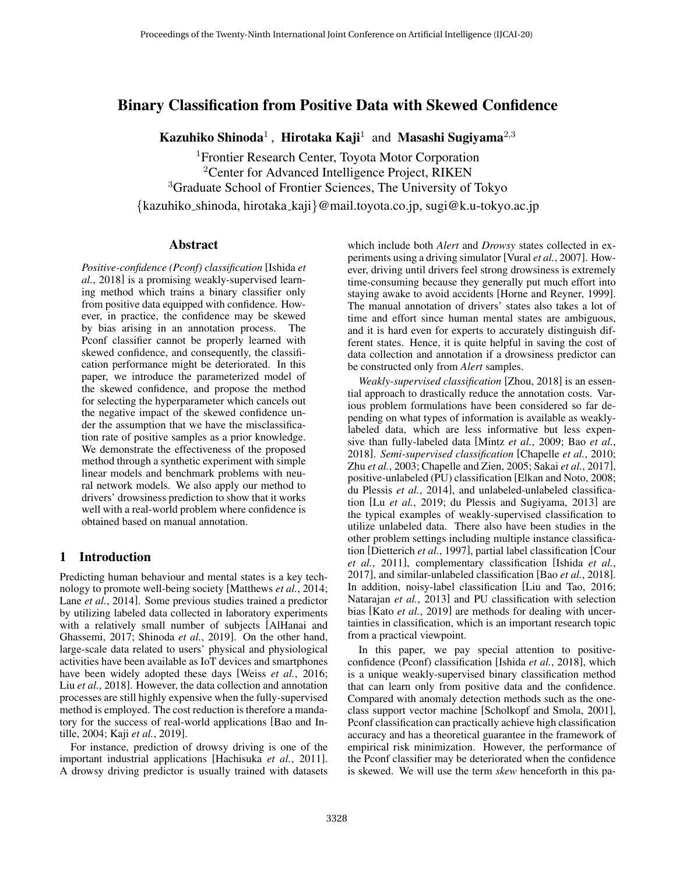# Binary Classification from Positive Data with Skewed Confidence

Kazuhiko Shinoda<sup>1</sup>, Hirotaka Kaji<sup>1</sup> and Masashi Sugiyama<sup>2,3</sup>

<sup>1</sup>Frontier Research Center, Toyota Motor Corporation <sup>2</sup>Center for Advanced Intelligence Project, RIKEN <sup>3</sup>Graduate School of Frontier Sciences, The University of Tokyo {kazuhiko shinoda, hirotaka kaji}@mail.toyota.co.jp, sugi@k.u-tokyo.ac.jp

### Abstract

*Positive-confidence (Pconf) classification* [\[Ishida](#page-6-0) *et al.*[, 2018\]](#page-6-0) is a promising weakly-supervised learning method which trains a binary classifier only from positive data equipped with confidence. However, in practice, the confidence may be skewed by bias arising in an annotation process. The Pconf classifier cannot be properly learned with skewed confidence, and consequently, the classification performance might be deteriorated. In this paper, we introduce the parameterized model of the skewed confidence, and propose the method for selecting the hyperparameter which cancels out the negative impact of the skewed confidence under the assumption that we have the misclassification rate of positive samples as a prior knowledge. We demonstrate the effectiveness of the proposed method through a synthetic experiment with simple linear models and benchmark problems with neural network models. We also apply our method to drivers' drowsiness prediction to show that it works well with a real-world problem where confidence is obtained based on manual annotation.

### 1 Introduction

Predicting human behaviour and mental states is a key technology to promote well-being society [\[Matthews](#page-6-1) *et al.*, 2014; Lane *et al.*[, 2014\]](#page-6-2). Some previous studies trained a predictor by utilizing labeled data collected in laboratory experiments with a relatively small number of subjects [\[AlHanai and](#page-5-0) [Ghassemi, 2017;](#page-5-0) [Shinoda](#page-6-3) *et al.*, 2019]. On the other hand, large-scale data related to users' physical and physiological activities have been available as IoT devices and smartphones have been widely adopted these days [Weiss *et al.*[, 2016;](#page-6-4) Liu *et al.*[, 2018\]](#page-6-5). However, the data collection and annotation processes are still highly expensive when the fully-supervised method is employed. The cost reduction is therefore a mandatory for the success of real-world applications [\[Bao and In](#page-5-1)[tille, 2004;](#page-5-1) Kaji *et al.*[, 2019\]](#page-6-6).

For instance, prediction of drowsy driving is one of the important industrial applications [\[Hachisuka](#page-5-2) *et al.*, 2011]. A drowsy driving predictor is usually trained with datasets which include both *Alert* and *Drowsy* states collected in experiments using a driving simulator [Vural *et al.*[, 2007\]](#page-6-7). However, driving until drivers feel strong drowsiness is extremely time-consuming because they generally put much effort into staying awake to avoid accidents [\[Horne and Reyner, 1999\]](#page-6-8). The manual annotation of drivers' states also takes a lot of time and effort since human mental states are ambiguous, and it is hard even for experts to accurately distinguish different states. Hence, it is quite helpful in saving the cost of data collection and annotation if a drowsiness predictor can be constructed only from *Alert* samples.

*Weakly-supervised classification* [\[Zhou, 2018\]](#page-6-9) is an essential approach to drastically reduce the annotation costs. Various problem formulations have been considered so far depending on what types of information is available as weaklylabeled data, which are less informative but less expensive than fully-labeled data [\[Mintz](#page-6-10) *et al.*, 2009; Bao *[et al.](#page-5-3)*, [2018\]](#page-5-3). *Semi-supervised classification* [\[Chapelle](#page-5-4) *et al.*, 2010; Zhu *et al.*[, 2003;](#page-6-11) [Chapelle and Zien, 2005;](#page-5-5) Sakai *et al.*[, 2017\]](#page-6-12), positive-unlabeled (PU) classification [\[Elkan and Noto, 2008;](#page-5-6) [du Plessis](#page-5-7) *et al.*, 2014], and unlabeled-unlabeled classification [Lu *et al.*[, 2019;](#page-6-13) [du Plessis and Sugiyama, 2013\]](#page-5-8) are the typical examples of weakly-supervised classification to utilize unlabeled data. There also have been studies in the other problem settings including multiple instance classification [\[Dietterich](#page-5-9) *et al.*, 1997], partial label classification [\[Cour](#page-5-10) *et al.*[, 2011\]](#page-5-10), complementary classification [\[Ishida](#page-6-14) *et al.*, [2017\]](#page-6-14), and similar-unlabeled classification [Bao *et al.*[, 2018\]](#page-5-3). In addition, noisy-label classification [\[Liu and Tao, 2016;](#page-6-15) [Natarajan](#page-6-16) *et al.*, 2013] and PU classification with selection bias [Kato *et al.*[, 2019\]](#page-6-17) are methods for dealing with uncertainties in classification, which is an important research topic from a practical viewpoint.

In this paper, we pay special attention to positiveconfidence (Pconf) classification [Ishida *et al.*[, 2018\]](#page-6-0), which is a unique weakly-supervised binary classification method that can learn only from positive data and the confidence. Compared with anomaly detection methods such as the oneclass support vector machine [\[Scholkopf and Smola, 2001\]](#page-6-18), Pconf classification can practically achieve high classification accuracy and has a theoretical guarantee in the framework of empirical risk minimization. However, the performance of the Pconf classifier may be deteriorated when the confidence is skewed. We will use the term *skew* henceforth in this pa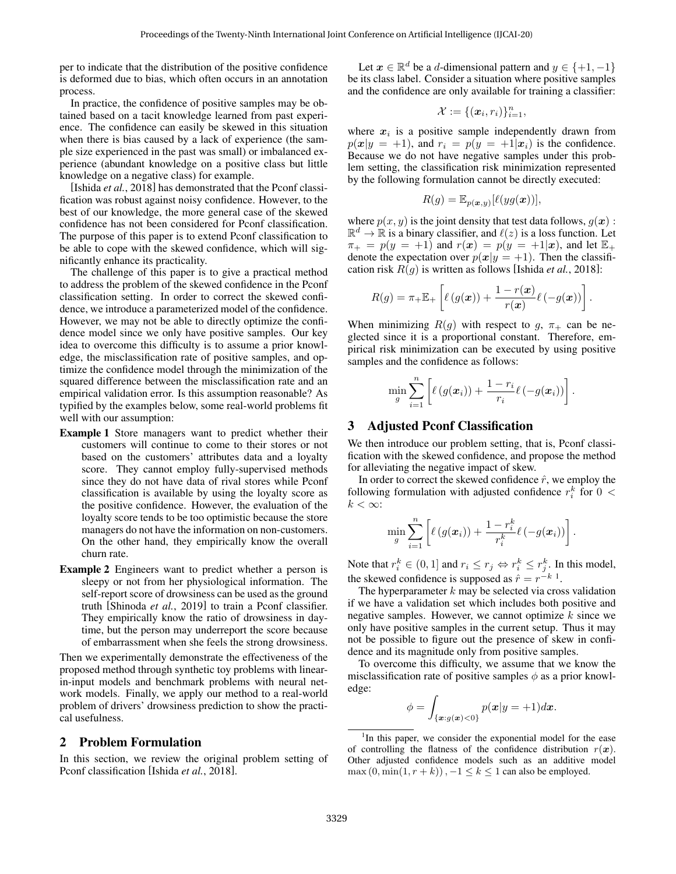per to indicate that the distribution of the positive confidence is deformed due to bias, which often occurs in an annotation process.

In practice, the confidence of positive samples may be obtained based on a tacit knowledge learned from past experience. The confidence can easily be skewed in this situation when there is bias caused by a lack of experience (the sample size experienced in the past was small) or imbalanced experience (abundant knowledge on a positive class but little knowledge on a negative class) for example.

[Ishida *et al.*[, 2018\]](#page-6-0) has demonstrated that the Pconf classification was robust against noisy confidence. However, to the best of our knowledge, the more general case of the skewed confidence has not been considered for Pconf classification. The purpose of this paper is to extend Pconf classification to be able to cope with the skewed confidence, which will significantly enhance its practicality.

The challenge of this paper is to give a practical method to address the problem of the skewed confidence in the Pconf classification setting. In order to correct the skewed confidence, we introduce a parameterized model of the confidence. However, we may not be able to directly optimize the confidence model since we only have positive samples. Our key idea to overcome this difficulty is to assume a prior knowledge, the misclassification rate of positive samples, and optimize the confidence model through the minimization of the squared difference between the misclassification rate and an empirical validation error. Is this assumption reasonable? As typified by the examples below, some real-world problems fit well with our assumption:

- Example 1 Store managers want to predict whether their customers will continue to come to their stores or not based on the customers' attributes data and a loyalty score. They cannot employ fully-supervised methods since they do not have data of rival stores while Pconf classification is available by using the loyalty score as the positive confidence. However, the evaluation of the loyalty score tends to be too optimistic because the store managers do not have the information on non-customers. On the other hand, they empirically know the overall churn rate.
- Example 2 Engineers want to predict whether a person is sleepy or not from her physiological information. The self-report score of drowsiness can be used as the ground truth [\[Shinoda](#page-6-3) *et al.*, 2019] to train a Pconf classifier. They empirically know the ratio of drowsiness in daytime, but the person may underreport the score because of embarrassment when she feels the strong drowsiness.

Then we experimentally demonstrate the effectiveness of the proposed method through synthetic toy problems with linearin-input models and benchmark problems with neural network models. Finally, we apply our method to a real-world problem of drivers' drowsiness prediction to show the practical usefulness.

#### 2 Problem Formulation

In this section, we review the original problem setting of Pconf classification [Ishida *et al.*[, 2018\]](#page-6-0).

Let  $x \in \mathbb{R}^d$  be a d-dimensional pattern and  $y \in \{+1, -1\}$ be its class label. Consider a situation where positive samples and the confidence are only available for training a classifier:

$$
\mathcal{X}:=\{(\boldsymbol{x}_i,r_i)\}_{i=1}^n,
$$

where  $x_i$  is a positive sample independently drawn from  $p(x|y = +1)$ , and  $r_i = p(y = +1|x_i)$  is the confidence. Because we do not have negative samples under this problem setting, the classification risk minimization represented by the following formulation cannot be directly executed:

$$
R(g) = \mathbb{E}_{p(\boldsymbol{x}, y)}[\ell(yg(\boldsymbol{x}))],
$$

where  $p(x, y)$  is the joint density that test data follows,  $q(x)$ :  $\mathbb{R}^d \to \mathbb{R}$  is a binary classifier, and  $\ell(z)$  is a loss function. Let  $\pi_+ = p(y = +1)$  and  $r(x) = p(y = +1|x)$ , and let  $\mathbb{E}_+$ denote the expectation over  $p(x|y = +1)$ . Then the classification risk R(g) is written as follows [Ishida *et al.*[, 2018\]](#page-6-0):

$$
R(g) = \pi_{+} \mathbb{E}_{+} \left[ \ell(g(\boldsymbol{x})) + \frac{1 - r(\boldsymbol{x})}{r(\boldsymbol{x})} \ell(-g(\boldsymbol{x})) \right]
$$

.

When minimizing  $R(g)$  with respect to g,  $\pi_+$  can be neglected since it is a proportional constant. Therefore, empirical risk minimization can be executed by using positive samples and the confidence as follows:

$$
\min_{g} \sum_{i=1}^{n} \left[ \ell(g(\boldsymbol{x}_i)) + \frac{1-r_i}{r_i} \ell(-g(\boldsymbol{x}_i)) \right].
$$

### 3 Adjusted Pconf Classification

We then introduce our problem setting, that is, Pconf classification with the skewed confidence, and propose the method for alleviating the negative impact of skew.

In order to correct the skewed confidence  $\hat{r}$ , we employ the following formulation with adjusted confidence  $r_i^k$  for  $0 <$  $k < \infty$ :

$$
\min_{g} \sum_{i=1}^{n} \left[ \ell(g(\boldsymbol{x}_i)) + \frac{1-r_i^k}{r_i^k} \ell(-g(\boldsymbol{x}_i)) \right].
$$

Note that  $r_i^k \in (0,1]$  and  $r_i \le r_j \Leftrightarrow r_i^k \le r_j^k$ . In this model, the skewed confidence is supposed as  $\hat{r} = r^{-k-1}$  $\hat{r} = r^{-k-1}$  $\hat{r} = r^{-k-1}$ .

The hyperparameter  $k$  may be selected via cross validation if we have a validation set which includes both positive and negative samples. However, we cannot optimize  $k$  since we only have positive samples in the current setup. Thus it may not be possible to figure out the presence of skew in confidence and its magnitude only from positive samples.

To overcome this difficulty, we assume that we know the misclassification rate of positive samples  $\phi$  as a prior knowledge:

$$
\phi = \int_{\{\boldsymbol{x}: g(\boldsymbol{x}) < 0\}} p(\boldsymbol{x}|y = +1) d\boldsymbol{x}.
$$

<span id="page-1-0"></span><sup>&</sup>lt;sup>1</sup>In this paper, we consider the exponential model for the ease of controlling the flatness of the confidence distribution  $r(x)$ . Other adjusted confidence models such as an additive model  $\max(0, \min(1, r + k))$ ,  $-1 \le k \le 1$  can also be employed.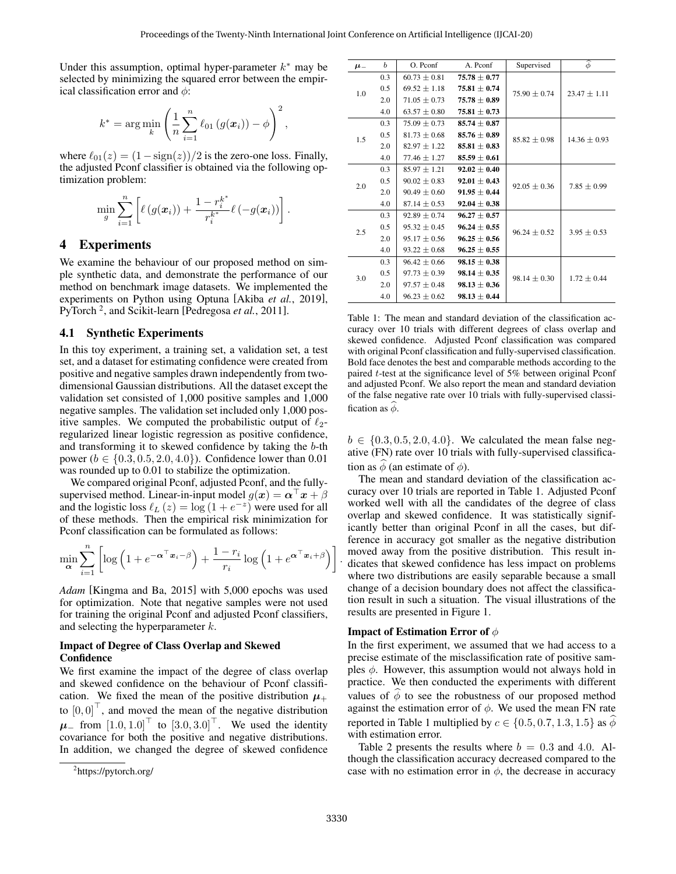Under this assumption, optimal hyper-parameter  $k^*$  may be selected by minimizing the squared error between the empirical classification error and  $\phi$ :

$$
k^* = \arg\min_{k} \left( \frac{1}{n} \sum_{i=1}^n \ell_{01} (g(\boldsymbol{x}_i)) - \phi \right)^2,
$$

where  $\ell_{01}(z) = (1 - \text{sign}(z))/2$  is the zero-one loss. Finally, the adjusted Pconf classifier is obtained via the following optimization problem:

$$
\min_{g} \sum_{i=1}^{n} \left[ \ell(g(\boldsymbol{x}_i)) + \frac{1-r_i^{k^*}}{r_i^{k^*}} \ell(-g(\boldsymbol{x}_i)) \right].
$$

## 4 Experiments

We examine the behaviour of our proposed method on simple synthetic data, and demonstrate the performance of our method on benchmark image datasets. We implemented the experiments on Python using Optuna [Akiba *et al.*[, 2019\]](#page-5-11), PyTorch [2](#page-2-0) , and Scikit-learn [\[Pedregosa](#page-6-19) *et al.*, 2011].

### 4.1 Synthetic Experiments

In this toy experiment, a training set, a validation set, a test set, and a dataset for estimating confidence were created from positive and negative samples drawn independently from twodimensional Gaussian distributions. All the dataset except the validation set consisted of 1,000 positive samples and 1,000 negative samples. The validation set included only 1,000 positive samples. We computed the probabilistic output of  $\ell_2$ regularized linear logistic regression as positive confidence, and transforming it to skewed confidence by taking the b-th power ( $b \in \{0.3, 0.5, 2.0, 4.0\}$ ). Confidence lower than 0.01 was rounded up to 0.01 to stabilize the optimization.

We compared original Pconf, adjusted Pconf, and the fullysupervised method. Linear-in-input model  $g(x) = \alpha^{\perp} x + \beta$ and the logistic loss  $\ell_L (z) = \log (1 + e^{-z})$  were used for all of these methods. Then the empirical risk minimization for Pconf classification can be formulated as follows:

$$
\min_{\mathbf{\alpha}} \sum_{i=1}^{n} \left[ \log \left( 1 + e^{-\mathbf{\alpha}^\top \mathbf{x}_i - \beta} \right) + \frac{1 - r_i}{r_i} \log \left( 1 + e^{\mathbf{\alpha}^\top \mathbf{x}_i + \beta} \right) \right]
$$

*Adam* [\[Kingma and Ba, 2015\]](#page-6-20) with 5,000 epochs was used for optimization. Note that negative samples were not used for training the original Pconf and adjusted Pconf classifiers, and selecting the hyperparameter k.

#### Impact of Degree of Class Overlap and Skewed **Confidence**

We first examine the impact of the degree of class overlap and skewed confidence on the behaviour of Pconf classification. We fixed the mean of the positive distribution  $\mu_+$ to  $[0, 0]^\top$ , and moved the mean of the negative distribution  $\mu$ <sub>−</sub> from  $\left[1.0, 1.0\right]$ <sup>T</sup> to  $\left[3.0, 3.0\right]$ <sup>T</sup>. We used the identity covariance for both the positive and negative distributions. In addition, we changed the degree of skewed confidence

<span id="page-2-1"></span>

| $\mu$ <sub>-</sub> | b   | O. Pconf         | A. Pconf         | $\ddot{\phi}$<br>Supervised |                  |
|--------------------|-----|------------------|------------------|-----------------------------|------------------|
| 1.0                | 0.3 | $60.73 \pm 0.81$ | $75.78 \pm 0.77$ |                             | $23.47 \pm 1.11$ |
|                    | 0.5 | $69.52 + 1.18$   | $75.81 + 0.74$   | $75.90 \pm 0.74$            |                  |
|                    | 2.0 | $71.05 \pm 0.73$ | $75.78 \pm 0.89$ |                             |                  |
|                    | 4.0 | $63.57 \pm 0.80$ | $75.81 \pm 0.73$ |                             |                  |
| 1.5                | 0.3 | $75.09 + 0.73$   | $85.74 + 0.87$   |                             | $14.36 \pm 0.93$ |
|                    | 0.5 | $81.73 \pm 0.68$ | $85.76 \pm 0.89$ | $85.82 \pm 0.98$            |                  |
|                    | 2.0 | $82.97 \pm 1.22$ | $85.81 \pm 0.83$ |                             |                  |
|                    | 4.0 | $77.46 \pm 1.27$ | $85.59 \pm 0.61$ |                             |                  |
| 2.0                | 0.3 | $85.97 \pm 1.21$ | $92.02 \pm 0.40$ |                             | $7.85 \pm 0.99$  |
|                    | 0.5 | $90.02 + 0.83$   | $92.01 + 0.43$   | $92.05 + 0.36$              |                  |
|                    | 2.0 | $90.49 + 0.60$   | $91.95 \pm 0.44$ |                             |                  |
|                    | 4.0 | $87.14 \pm 0.53$ | $92.04 \pm 0.38$ |                             |                  |
| 2.5                | 0.3 | $92.89 + 0.74$   | $96.27 + 0.57$   |                             | $3.95 \pm 0.53$  |
|                    | 0.5 | $95.32 \pm 0.45$ | $96.24 \pm 0.55$ | $96.24 + 0.52$              |                  |
|                    | 2.0 | $95.17 \pm 0.56$ | $96.25 \pm 0.56$ |                             |                  |
|                    | 4.0 | $93.22 \pm 0.68$ | $96.25 \pm 0.55$ |                             |                  |
| 3.0                | 0.3 | $96.42 + 0.66$   | $98.15 \pm 0.38$ |                             | $1.72 \pm 0.44$  |
|                    | 0.5 | $97.73 \pm 0.39$ | $98.14 \pm 0.35$ | $98.14 \pm 0.30$            |                  |
|                    | 2.0 | $97.57 \pm 0.48$ | $98.13 \pm 0.36$ |                             |                  |
|                    | 4.0 | $96.23 \pm 0.62$ | $98.13 \pm 0.44$ |                             |                  |

Table 1: The mean and standard deviation of the classification accuracy over 10 trials with different degrees of class overlap and skewed confidence. Adjusted Pconf classification was compared with original Pconf classification and fully-supervised classification. Bold face denotes the best and comparable methods according to the paired  $t$ -test at the significance level of 5% between original Pconf and adjusted Pconf. We also report the mean and standard deviation of the false negative rate over 10 trials with fully-supervised classification as  $\phi$ .

 $b \in \{0.3, 0.5, 2.0, 4.0\}$ . We calculated the mean false negative (FN) rate over 10 trials with fully-supervised classification as  $\phi$  (an estimate of  $\phi$ ).

The mean and standard deviation of the classification accuracy over 10 trials are reported in Table [1.](#page-2-1) Adjusted Pconf worked well with all the candidates of the degree of class overlap and skewed confidence. It was statistically significantly better than original Pconf in all the cases, but difference in accuracy got smaller as the negative distribution moved away from the positive distribution. This result indicates that skewed confidence has less impact on problems where two distributions are easily separable because a small change of a decision boundary does not affect the classification result in such a situation. The visual illustrations of the results are presented in Figure [1.](#page-3-0)

#### **Impact of Estimation Error of**  $\phi$

In the first experiment, we assumed that we had access to a precise estimate of the misclassification rate of positive samples  $\phi$ . However, this assumption would not always hold in practice. We then conducted the experiments with different values of  $\phi$  to see the robustness of our proposed method against the estimation error of  $\phi$ . We used the mean FN rate reported in Table [1](#page-2-1) multiplied by  $c \in \{0.5, 0.7, 1.3, 1.5\}$  as  $\phi$ with estimation error.

Table [2](#page-3-1) presents the results where  $b = 0.3$  and 4.0. Although the classification accuracy decreased compared to the case with no estimation error in  $\phi$ , the decrease in accuracy

.

<span id="page-2-0"></span><sup>&</sup>lt;sup>2</sup><https://pytorch.org/>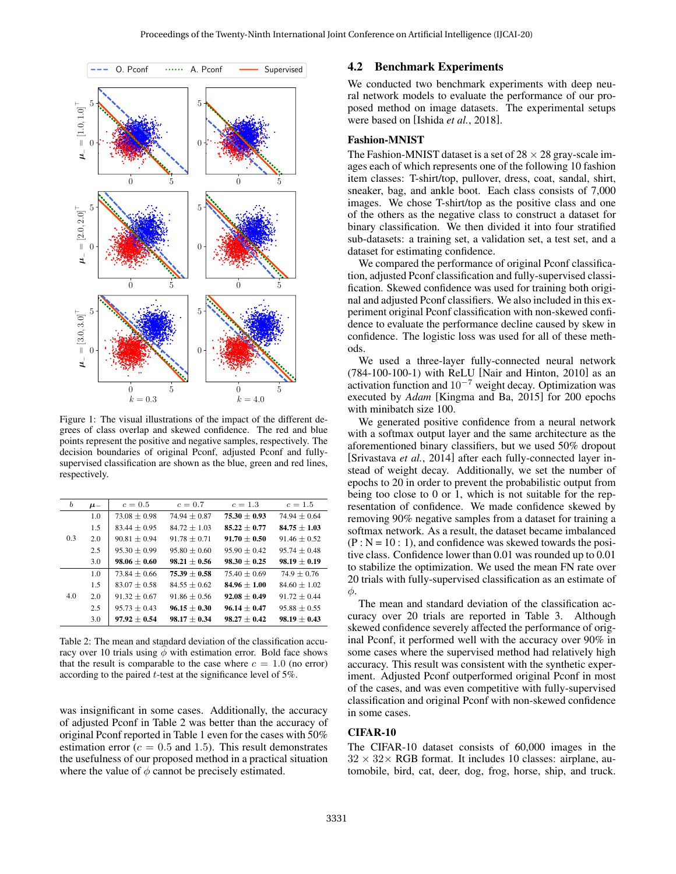<span id="page-3-0"></span>

Figure 1: The visual illustrations of the impact of the different degrees of class overlap and skewed confidence. The red and blue points represent the positive and negative samples, respectively. The decision boundaries of original Pconf, adjusted Pconf and fullysupervised classification are shown as the blue, green and red lines, respectively.

<span id="page-3-1"></span>

| b   | $\mu$ | $c=0.5$          | $c=0.7$          | $c = 1.3$        | $c = 1.5$        |
|-----|-------|------------------|------------------|------------------|------------------|
| 0.3 | 1.0   | $73.08 + 0.98$   | $74.94 + 0.87$   | $75.30 + 0.93$   | $74.94 + 0.64$   |
|     | 1.5   | $83.44 + 0.95$   | $84.72 \pm 1.03$ | $85.22 \pm 0.77$ | $84.75 \pm 1.03$ |
|     | 2.0   | $90.81 + 0.94$   | $91.78 + 0.71$   | $91.70 + 0.50$   | $91.46 + 0.52$   |
|     | 2.5   | $95.30 + 0.99$   | $95.80 + 0.60$   | $95.90 + 0.42$   | $95.74 + 0.48$   |
|     | 3.0   | $98.06 + 0.60$   | $98.21 + 0.56$   | $98.30 + 0.25$   | $98.19 + 0.19$   |
|     | 1.0   | $73.84 + 0.66$   | $75.39 + 0.58$   | $75.40 + 0.69$   | $74.9 + 0.76$    |
| 4.0 | 1.5   | $83.07 + 0.58$   | $84.55 + 0.62$   | $84.96 + 1.00$   | $84.60 + 1.02$   |
|     | 2.0   | $91.32 + 0.67$   | $91.86 + 0.56$   | $92.08 + 0.49$   | $91.72 + 0.44$   |
|     | 2.5   | $95.73 \pm 0.43$ | $96.15 + 0.30$   | $96.14 + 0.47$   | $95.88 + 0.55$   |
|     | 3.0   | $97.92 + 0.54$   | $98.17 + 0.34$   | $98.27 + 0.42$   | $98.19 + 0.43$   |

Table 2: The mean and standard deviation of the classification accuracy over 10 trials using  $\phi$  with estimation error. Bold face shows that the result is comparable to the case where  $c = 1.0$  (no error) according to the paired t-test at the significance level of 5%.

was insignificant in some cases. Additionally, the accuracy of adjusted Pconf in Table [2](#page-3-1) was better than the accuracy of original Pconf reported in Table [1](#page-2-1) even for the cases with 50% estimation error ( $c = 0.5$  and 1.5). This result demonstrates the usefulness of our proposed method in a practical situation where the value of  $\phi$  cannot be precisely estimated.

#### 4.2 Benchmark Experiments

We conducted two benchmark experiments with deep neural network models to evaluate the performance of our proposed method on image datasets. The experimental setups were based on [Ishida *et al.*[, 2018\]](#page-6-0).

### Fashion-MNIST

The Fashion-MNIST dataset is a set of  $28 \times 28$  gray-scale images each of which represents one of the following 10 fashion item classes: T-shirt/top, pullover, dress, coat, sandal, shirt, sneaker, bag, and ankle boot. Each class consists of 7,000 images. We chose T-shirt/top as the positive class and one of the others as the negative class to construct a dataset for binary classification. We then divided it into four stratified sub-datasets: a training set, a validation set, a test set, and a dataset for estimating confidence.

We compared the performance of original Pconf classification, adjusted Pconf classification and fully-supervised classification. Skewed confidence was used for training both original and adjusted Pconf classifiers. We also included in this experiment original Pconf classification with non-skewed confidence to evaluate the performance decline caused by skew in confidence. The logistic loss was used for all of these methods.

We used a three-layer fully-connected neural network (784-100-100-1) with ReLU [\[Nair and Hinton, 2010\]](#page-6-21) as an activation function and  $10^{-7}$  weight decay. Optimization was executed by *Adam* [\[Kingma and Ba, 2015\]](#page-6-20) for 200 epochs with minibatch size 100.

We generated positive confidence from a neural network with a softmax output layer and the same architecture as the aforementioned binary classifiers, but we used 50% dropout [\[Srivastava](#page-6-22) *et al.*, 2014] after each fully-connected layer instead of weight decay. Additionally, we set the number of epochs to 20 in order to prevent the probabilistic output from being too close to 0 or 1, which is not suitable for the representation of confidence. We made confidence skewed by removing 90% negative samples from a dataset for training a softmax network. As a result, the dataset became imbalanced  $(P : N = 10 : 1)$ , and confidence was skewed towards the positive class. Confidence lower than 0.01 was rounded up to 0.01 to stabilize the optimization. We used the mean FN rate over 20 trials with fully-supervised classification as an estimate of φ.

The mean and standard deviation of the classification accuracy over 20 trials are reported in Table [3.](#page-4-0) Although skewed confidence severely affected the performance of original Pconf, it performed well with the accuracy over 90% in some cases where the supervised method had relatively high accuracy. This result was consistent with the synthetic experiment. Adjusted Pconf outperformed original Pconf in most of the cases, and was even competitive with fully-supervised classification and original Pconf with non-skewed confidence in some cases.

### CIFAR-10

The CIFAR-10 dataset consists of 60,000 images in the  $32 \times 32 \times$  RGB format. It includes 10 classes: airplane, automobile, bird, cat, deer, dog, frog, horse, ship, and truck.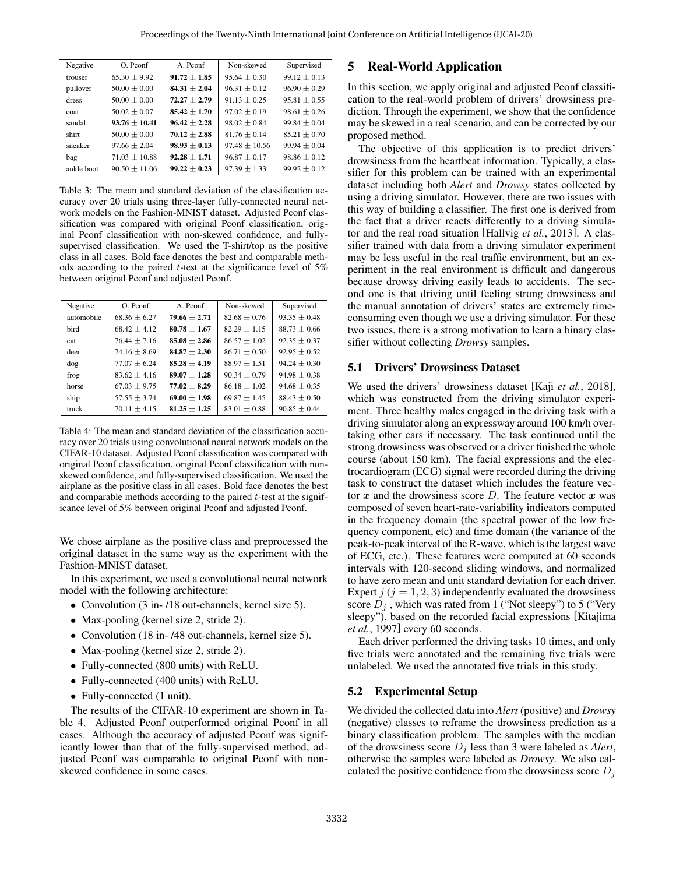<span id="page-4-0"></span>

| Supervised       |
|------------------|
| $99.12 \pm 0.13$ |
| $96.90 \pm 0.29$ |
| $95.81 + 0.55$   |
| $98.61 \pm 0.26$ |
| $99.84 + 0.04$   |
| $85.21 + 0.70$   |
| $99.94 \pm 0.04$ |
| $98.86 \pm 0.12$ |
| $99.92 \pm 0.12$ |
|                  |

Table 3: The mean and standard deviation of the classification accuracy over 20 trials using three-layer fully-connected neural network models on the Fashion-MNIST dataset. Adjusted Pconf classification was compared with original Pconf classification, original Pconf classification with non-skewed confidence, and fullysupervised classification. We used the T-shirt/top as the positive class in all cases. Bold face denotes the best and comparable methods according to the paired  $t$ -test at the significance level of 5% between original Pconf and adjusted Pconf.

<span id="page-4-1"></span>

| Negative   | O. Pconf         | A. Pconf         | Non-skewed       | Supervised       |
|------------|------------------|------------------|------------------|------------------|
| automobile | $68.36 \pm 6.27$ | $79.66 \pm 2.71$ | $82.68 \pm 0.76$ | $93.35 \pm 0.48$ |
| bird       | $68.42 + 4.12$   | $80.78 + 1.67$   | $82.29 \pm 1.15$ | $88.73 + 0.66$   |
| cat        | $76.44 \pm 7.16$ | $85.08 \pm 2.86$ | $86.57 \pm 1.02$ | $92.35 \pm 0.37$ |
| deer       | $74.16 + 8.69$   | $84.87 \pm 2.30$ | $86.71 \pm 0.50$ | $92.95 \pm 0.52$ |
| dog        | $77.07 + 6.24$   | $85.28 + 4.19$   | $88.97 \pm 1.51$ | $94.24 \pm 0.30$ |
| frog       | $83.62 + 4.16$   | $89.07 \pm 1.28$ | $90.34 \pm 0.79$ | $94.98 \pm 0.38$ |
| horse      | $67.03 + 9.75$   | $77.02 \pm 8.29$ | $86.18 \pm 1.02$ | $94.68 \pm 0.35$ |
| ship       | $57.55 + 3.74$   | $69.00 + 1.98$   | $69.87 + 1.45$   | $88.43 + 0.50$   |
| truck      | $70.11 \pm 4.15$ | $81.25 \pm 1.25$ | $83.01 \pm 0.88$ | $90.85 \pm 0.44$ |

Table 4: The mean and standard deviation of the classification accuracy over 20 trials using convolutional neural network models on the CIFAR-10 dataset. Adjusted Pconf classification was compared with original Pconf classification, original Pconf classification with nonskewed confidence, and fully-supervised classification. We used the airplane as the positive class in all cases. Bold face denotes the best and comparable methods according to the paired t-test at the significance level of 5% between original Pconf and adjusted Pconf.

We chose airplane as the positive class and preprocessed the original dataset in the same way as the experiment with the Fashion-MNIST dataset.

In this experiment, we used a convolutional neural network model with the following architecture:

- Convolution (3 in- /18 out-channels, kernel size 5).
- Max-pooling (kernel size 2, stride 2).
- Convolution (18 in- /48 out-channels, kernel size 5).
- Max-pooling (kernel size 2, stride 2).
- Fully-connected (800 units) with ReLU.
- Fully-connected (400 units) with ReLU.
- Fully-connected (1 unit).

The results of the CIFAR-10 experiment are shown in Table [4.](#page-4-1) Adjusted Pconf outperformed original Pconf in all cases. Although the accuracy of adjusted Pconf was significantly lower than that of the fully-supervised method, adjusted Pconf was comparable to original Pconf with nonskewed confidence in some cases.

### 5 Real-World Application

In this section, we apply original and adjusted Pconf classification to the real-world problem of drivers' drowsiness prediction. Through the experiment, we show that the confidence may be skewed in a real scenario, and can be corrected by our proposed method.

The objective of this application is to predict drivers' drowsiness from the heartbeat information. Typically, a classifier for this problem can be trained with an experimental dataset including both *Alert* and *Drowsy* states collected by using a driving simulator. However, there are two issues with this way of building a classifier. The first one is derived from the fact that a driver reacts differently to a driving simulator and the real road situation [\[Hallvig](#page-5-12) *et al.*, 2013]. A classifier trained with data from a driving simulator experiment may be less useful in the real traffic environment, but an experiment in the real environment is difficult and dangerous because drowsy driving easily leads to accidents. The second one is that driving until feeling strong drowsiness and the manual annotation of drivers' states are extremely timeconsuming even though we use a driving simulator. For these two issues, there is a strong motivation to learn a binary classifier without collecting *Drowsy* samples.

#### 5.1 Drivers' Drowsiness Dataset

We used the drivers' drowsiness dataset [Kaji *et al.*[, 2018\]](#page-6-23), which was constructed from the driving simulator experiment. Three healthy males engaged in the driving task with a driving simulator along an expressway around 100 km/h overtaking other cars if necessary. The task continued until the strong drowsiness was observed or a driver finished the whole course (about 150 km). The facial expressions and the electrocardiogram (ECG) signal were recorded during the driving task to construct the dataset which includes the feature vector x and the drowsiness score D. The feature vector x was composed of seven heart-rate-variability indicators computed in the frequency domain (the spectral power of the low frequency component, etc) and time domain (the variance of the peak-to-peak interval of the R-wave, which is the largest wave of ECG, etc.). These features were computed at 60 seconds intervals with 120-second sliding windows, and normalized to have zero mean and unit standard deviation for each driver. Expert  $j$  ( $j = 1, 2, 3$ ) independently evaluated the drowsiness score  $D_i$ , which was rated from 1 ("Not sleepy") to 5 ("Very sleepy"), based on the recorded facial expressions [\[Kitajima](#page-6-24) *et al.*[, 1997\]](#page-6-24) every 60 seconds.

Each driver performed the driving tasks 10 times, and only five trials were annotated and the remaining five trials were unlabeled. We used the annotated five trials in this study.

### 5.2 Experimental Setup

We divided the collected data into *Alert* (positive) and *Drowsy* (negative) classes to reframe the drowsiness prediction as a binary classification problem. The samples with the median of the drowsiness score  $D_i$  less than 3 were labeled as *Alert*, otherwise the samples were labeled as *Drowsy*. We also calculated the positive confidence from the drowsiness score  $D_i$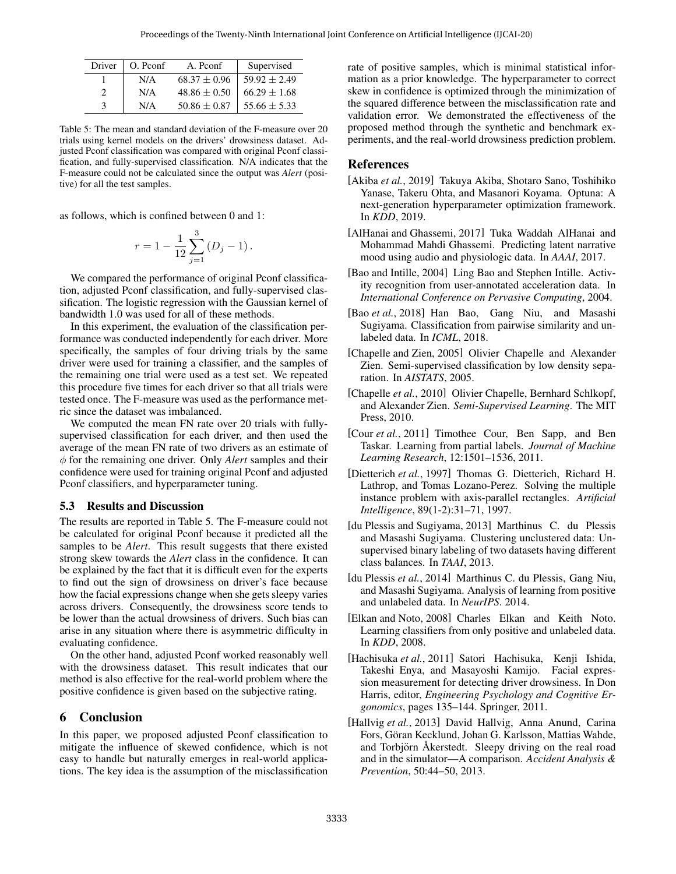<span id="page-5-13"></span>

| Driver | O. Pconf | A. Pconf         | Supervised       |
|--------|----------|------------------|------------------|
|        | N/A      | $68.37 \pm 0.96$ | $59.92 \pm 2.49$ |
|        | N/A      | $48.86 \pm 0.50$ | $66.29 \pm 1.68$ |
|        | N/A      | $50.86 \pm 0.87$ | $55.66 \pm 5.33$ |

Table 5: The mean and standard deviation of the F-measure over 20 trials using kernel models on the drivers' drowsiness dataset. Adjusted Pconf classification was compared with original Pconf classification, and fully-supervised classification. N/A indicates that the F-measure could not be calculated since the output was *Alert* (positive) for all the test samples.

as follows, which is confined between 0 and 1:

$$
r = 1 - \frac{1}{12} \sum_{j=1}^{3} (D_j - 1).
$$

We compared the performance of original Pconf classification, adjusted Pconf classification, and fully-supervised classification. The logistic regression with the Gaussian kernel of bandwidth 1.0 was used for all of these methods.

In this experiment, the evaluation of the classification performance was conducted independently for each driver. More specifically, the samples of four driving trials by the same driver were used for training a classifier, and the samples of the remaining one trial were used as a test set. We repeated this procedure five times for each driver so that all trials were tested once. The F-measure was used as the performance metric since the dataset was imbalanced.

We computed the mean FN rate over 20 trials with fullysupervised classification for each driver, and then used the average of the mean FN rate of two drivers as an estimate of φ for the remaining one driver. Only *Alert* samples and their confidence were used for training original Pconf and adjusted Pconf classifiers, and hyperparameter tuning.

#### 5.3 Results and Discussion

The results are reported in Table [5.](#page-5-13) The F-measure could not be calculated for original Pconf because it predicted all the samples to be *Alert*. This result suggests that there existed strong skew towards the *Alert* class in the confidence. It can be explained by the fact that it is difficult even for the experts to find out the sign of drowsiness on driver's face because how the facial expressions change when she gets sleepy varies across drivers. Consequently, the drowsiness score tends to be lower than the actual drowsiness of drivers. Such bias can arise in any situation where there is asymmetric difficulty in evaluating confidence.

On the other hand, adjusted Pconf worked reasonably well with the drowsiness dataset. This result indicates that our method is also effective for the real-world problem where the positive confidence is given based on the subjective rating.

### 6 Conclusion

In this paper, we proposed adjusted Pconf classification to mitigate the influence of skewed confidence, which is not easy to handle but naturally emerges in real-world applications. The key idea is the assumption of the misclassification rate of positive samples, which is minimal statistical information as a prior knowledge. The hyperparameter to correct skew in confidence is optimized through the minimization of the squared difference between the misclassification rate and validation error. We demonstrated the effectiveness of the proposed method through the synthetic and benchmark experiments, and the real-world drowsiness prediction problem.

#### References

- <span id="page-5-11"></span>[Akiba *et al.*, 2019] Takuya Akiba, Shotaro Sano, Toshihiko Yanase, Takeru Ohta, and Masanori Koyama. Optuna: A next-generation hyperparameter optimization framework. In *KDD*, 2019.
- <span id="page-5-0"></span>[AlHanai and Ghassemi, 2017] Tuka Waddah AlHanai and Mohammad Mahdi Ghassemi. Predicting latent narrative mood using audio and physiologic data. In *AAAI*, 2017.
- <span id="page-5-1"></span>[Bao and Intille, 2004] Ling Bao and Stephen Intille. Activity recognition from user-annotated acceleration data. In *International Conference on Pervasive Computing*, 2004.
- <span id="page-5-3"></span>[Bao *et al.*, 2018] Han Bao, Gang Niu, and Masashi Sugiyama. Classification from pairwise similarity and unlabeled data. In *ICML*, 2018.
- <span id="page-5-5"></span>[Chapelle and Zien, 2005] Olivier Chapelle and Alexander Zien. Semi-supervised classification by low density separation. In *AISTATS*, 2005.
- <span id="page-5-4"></span>[Chapelle *et al.*, 2010] Olivier Chapelle, Bernhard Schlkopf, and Alexander Zien. *Semi-Supervised Learning*. The MIT Press, 2010.
- <span id="page-5-10"></span>[Cour *et al.*, 2011] Timothee Cour, Ben Sapp, and Ben Taskar. Learning from partial labels. *Journal of Machine Learning Research*, 12:1501–1536, 2011.
- <span id="page-5-9"></span>[Dietterich *et al.*, 1997] Thomas G. Dietterich, Richard H. Lathrop, and Tomas Lozano-Perez. Solving the multiple instance problem with axis-parallel rectangles. *Artificial Intelligence*, 89(1-2):31–71, 1997.
- <span id="page-5-8"></span>[du Plessis and Sugiyama, 2013] Marthinus C. du Plessis and Masashi Sugiyama. Clustering unclustered data: Unsupervised binary labeling of two datasets having different class balances. In *TAAI*, 2013.
- <span id="page-5-7"></span>[du Plessis *et al.*, 2014] Marthinus C. du Plessis, Gang Niu, and Masashi Sugiyama. Analysis of learning from positive and unlabeled data. In *NeurIPS*. 2014.
- <span id="page-5-6"></span>[Elkan and Noto, 2008] Charles Elkan and Keith Noto. Learning classifiers from only positive and unlabeled data. In *KDD*, 2008.
- <span id="page-5-2"></span>[Hachisuka *et al.*, 2011] Satori Hachisuka, Kenji Ishida, Takeshi Enya, and Masayoshi Kamijo. Facial expression measurement for detecting driver drowsiness. In Don Harris, editor, *Engineering Psychology and Cognitive Ergonomics*, pages 135–144. Springer, 2011.
- <span id="page-5-12"></span>[Hallvig *et al.*, 2013] David Hallvig, Anna Anund, Carina Fors, Göran Kecklund, Johan G. Karlsson, Mattias Wahde, and Torbjörn Åkerstedt. Sleepy driving on the real road and in the simulator—A comparison. *Accident Analysis & Prevention*, 50:44–50, 2013.